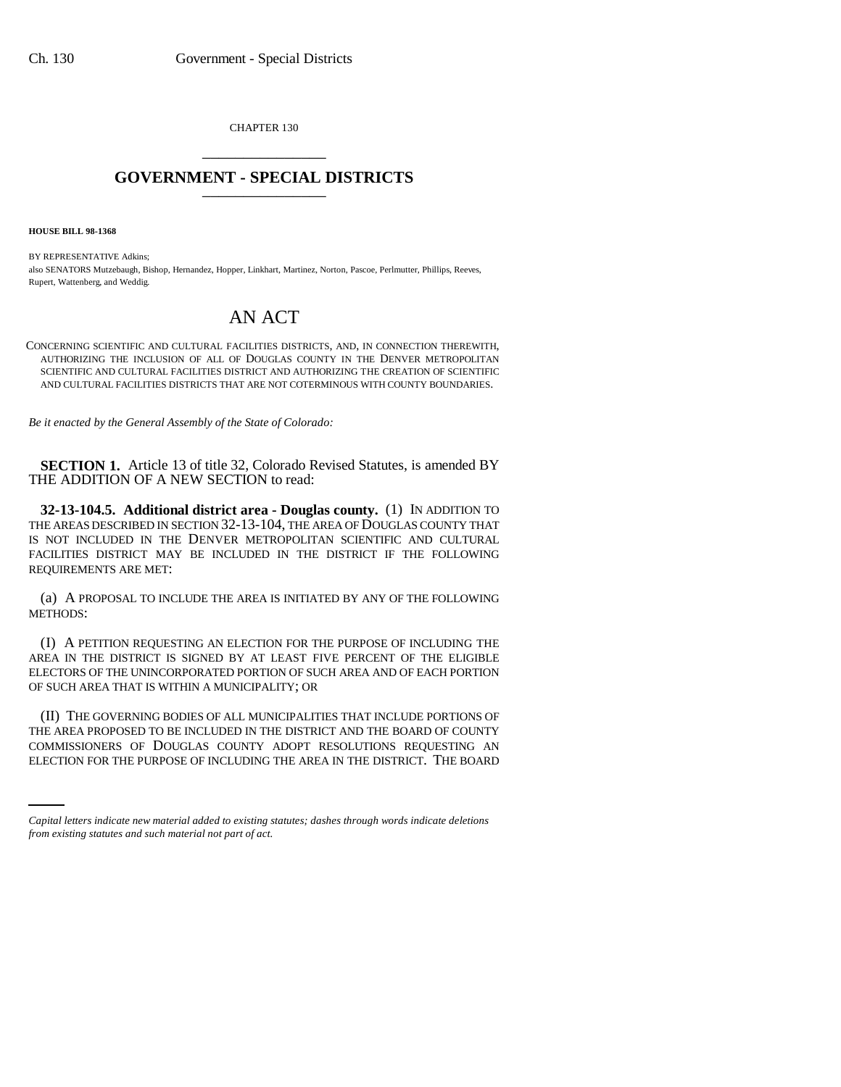CHAPTER 130 \_\_\_\_\_\_\_\_\_\_\_\_\_\_\_

## **GOVERNMENT - SPECIAL DISTRICTS** \_\_\_\_\_\_\_\_\_\_\_\_\_\_\_

**HOUSE BILL 98-1368**

BY REPRESENTATIVE Adkins; also SENATORS Mutzebaugh, Bishop, Hernandez, Hopper, Linkhart, Martinez, Norton, Pascoe, Perlmutter, Phillips, Reeves, Rupert, Wattenberg, and Weddig.

## AN ACT

CONCERNING SCIENTIFIC AND CULTURAL FACILITIES DISTRICTS, AND, IN CONNECTION THEREWITH, AUTHORIZING THE INCLUSION OF ALL OF DOUGLAS COUNTY IN THE DENVER METROPOLITAN SCIENTIFIC AND CULTURAL FACILITIES DISTRICT AND AUTHORIZING THE CREATION OF SCIENTIFIC AND CULTURAL FACILITIES DISTRICTS THAT ARE NOT COTERMINOUS WITH COUNTY BOUNDARIES.

*Be it enacted by the General Assembly of the State of Colorado:*

**SECTION 1.** Article 13 of title 32, Colorado Revised Statutes, is amended BY THE ADDITION OF A NEW SECTION to read:

**32-13-104.5. Additional district area - Douglas county.** (1) IN ADDITION TO THE AREAS DESCRIBED IN SECTION 32-13-104, THE AREA OF DOUGLAS COUNTY THAT IS NOT INCLUDED IN THE DENVER METROPOLITAN SCIENTIFIC AND CULTURAL FACILITIES DISTRICT MAY BE INCLUDED IN THE DISTRICT IF THE FOLLOWING REQUIREMENTS ARE MET:

(a) A PROPOSAL TO INCLUDE THE AREA IS INITIATED BY ANY OF THE FOLLOWING METHODS:

(I) A PETITION REQUESTING AN ELECTION FOR THE PURPOSE OF INCLUDING THE AREA IN THE DISTRICT IS SIGNED BY AT LEAST FIVE PERCENT OF THE ELIGIBLE ELECTORS OF THE UNINCORPORATED PORTION OF SUCH AREA AND OF EACH PORTION OF SUCH AREA THAT IS WITHIN A MUNICIPALITY; OR

THE AREA PROPOSED TO BE INCLUDED IN THE DISTRICT AND THE BOARD OF COUNTY (II) THE GOVERNING BODIES OF ALL MUNICIPALITIES THAT INCLUDE PORTIONS OF COMMISSIONERS OF DOUGLAS COUNTY ADOPT RESOLUTIONS REQUESTING AN ELECTION FOR THE PURPOSE OF INCLUDING THE AREA IN THE DISTRICT. THE BOARD

*Capital letters indicate new material added to existing statutes; dashes through words indicate deletions from existing statutes and such material not part of act.*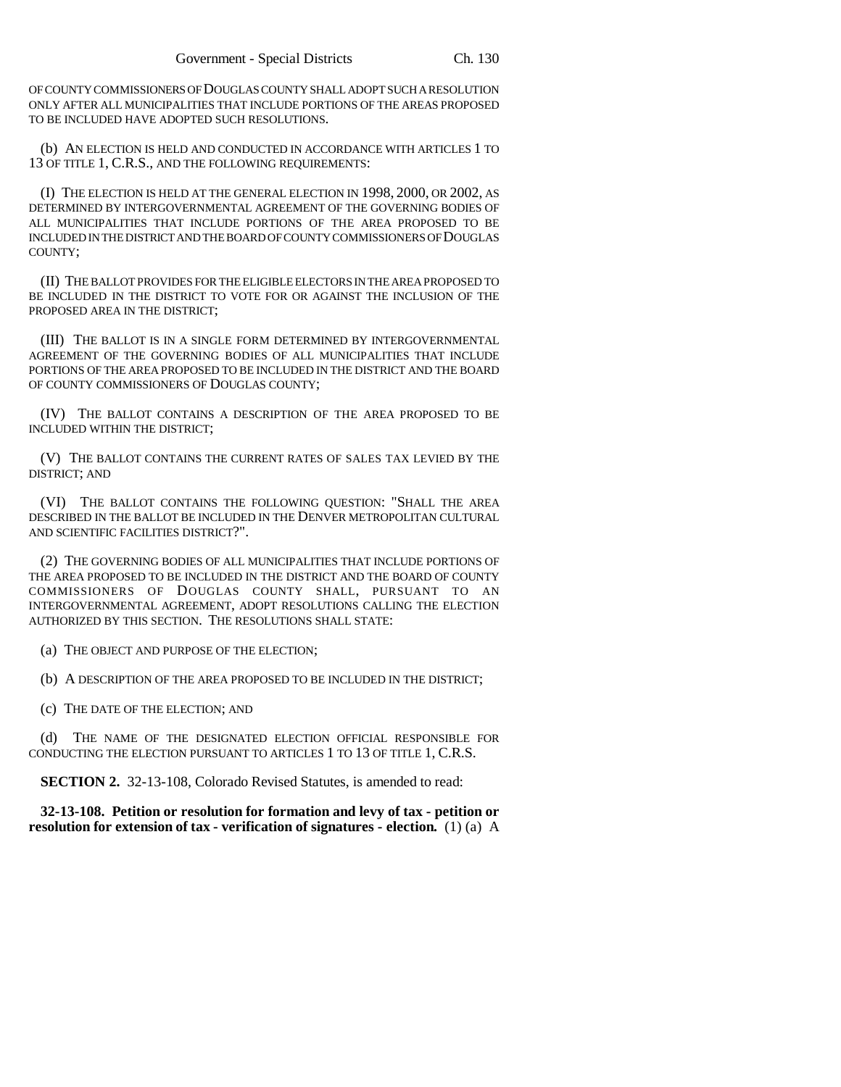OF COUNTY COMMISSIONERS OF DOUGLAS COUNTY SHALL ADOPT SUCH A RESOLUTION ONLY AFTER ALL MUNICIPALITIES THAT INCLUDE PORTIONS OF THE AREAS PROPOSED TO BE INCLUDED HAVE ADOPTED SUCH RESOLUTIONS.

(b) AN ELECTION IS HELD AND CONDUCTED IN ACCORDANCE WITH ARTICLES 1 TO 13 OF TITLE 1, C.R.S., AND THE FOLLOWING REQUIREMENTS:

(I) THE ELECTION IS HELD AT THE GENERAL ELECTION IN 1998, 2000, OR 2002, AS DETERMINED BY INTERGOVERNMENTAL AGREEMENT OF THE GOVERNING BODIES OF ALL MUNICIPALITIES THAT INCLUDE PORTIONS OF THE AREA PROPOSED TO BE INCLUDED IN THE DISTRICT AND THE BOARD OF COUNTY COMMISSIONERS OF DOUGLAS COUNTY;

(II) THE BALLOT PROVIDES FOR THE ELIGIBLE ELECTORS IN THE AREA PROPOSED TO BE INCLUDED IN THE DISTRICT TO VOTE FOR OR AGAINST THE INCLUSION OF THE PROPOSED AREA IN THE DISTRICT;

(III) THE BALLOT IS IN A SINGLE FORM DETERMINED BY INTERGOVERNMENTAL AGREEMENT OF THE GOVERNING BODIES OF ALL MUNICIPALITIES THAT INCLUDE PORTIONS OF THE AREA PROPOSED TO BE INCLUDED IN THE DISTRICT AND THE BOARD OF COUNTY COMMISSIONERS OF DOUGLAS COUNTY;

(IV) THE BALLOT CONTAINS A DESCRIPTION OF THE AREA PROPOSED TO BE INCLUDED WITHIN THE DISTRICT;

(V) THE BALLOT CONTAINS THE CURRENT RATES OF SALES TAX LEVIED BY THE DISTRICT; AND

(VI) THE BALLOT CONTAINS THE FOLLOWING QUESTION: "SHALL THE AREA DESCRIBED IN THE BALLOT BE INCLUDED IN THE DENVER METROPOLITAN CULTURAL AND SCIENTIFIC FACILITIES DISTRICT?".

(2) THE GOVERNING BODIES OF ALL MUNICIPALITIES THAT INCLUDE PORTIONS OF THE AREA PROPOSED TO BE INCLUDED IN THE DISTRICT AND THE BOARD OF COUNTY COMMISSIONERS OF DOUGLAS COUNTY SHALL, PURSUANT TO AN INTERGOVERNMENTAL AGREEMENT, ADOPT RESOLUTIONS CALLING THE ELECTION AUTHORIZED BY THIS SECTION. THE RESOLUTIONS SHALL STATE:

(a) THE OBJECT AND PURPOSE OF THE ELECTION;

(b) A DESCRIPTION OF THE AREA PROPOSED TO BE INCLUDED IN THE DISTRICT;

(c) THE DATE OF THE ELECTION; AND

THE NAME OF THE DESIGNATED ELECTION OFFICIAL RESPONSIBLE FOR CONDUCTING THE ELECTION PURSUANT TO ARTICLES 1 TO 13 OF TITLE 1, C.R.S.

**SECTION 2.** 32-13-108, Colorado Revised Statutes, is amended to read:

**32-13-108. Petition or resolution for formation and levy of tax - petition or resolution for extension of tax - verification of signatures - election.** (1) (a) A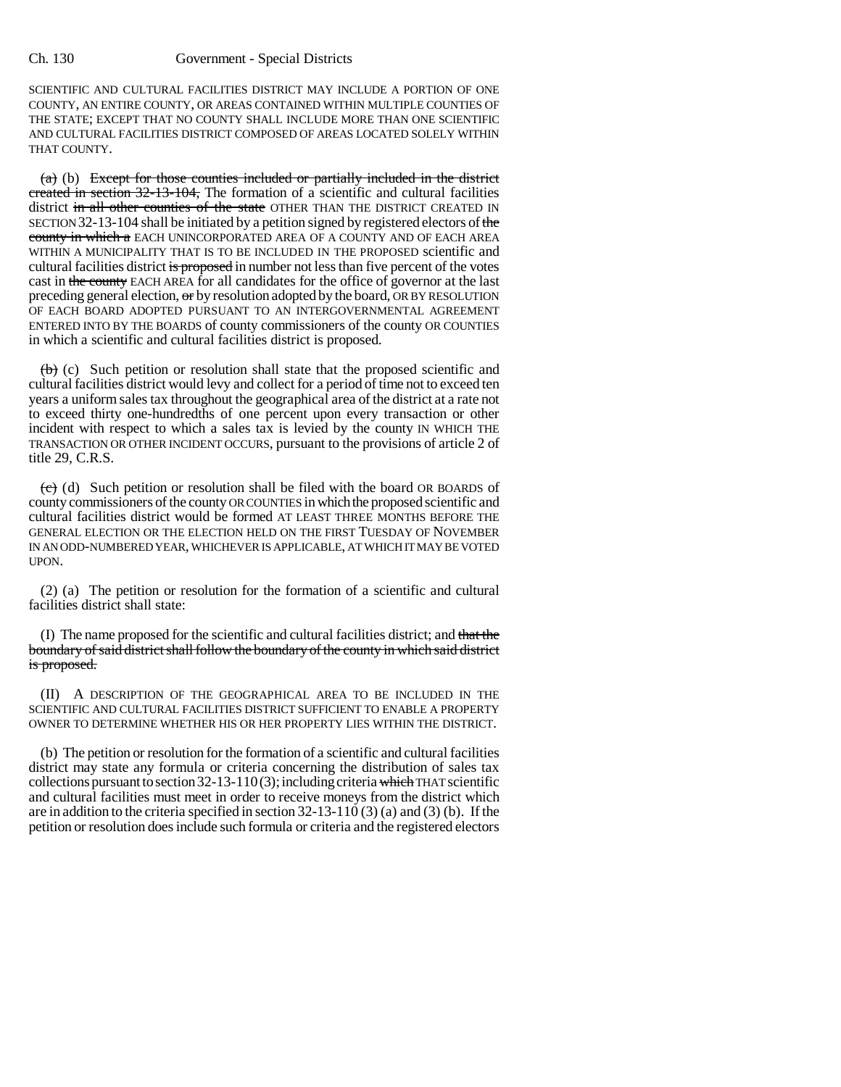## Ch. 130 Government - Special Districts

SCIENTIFIC AND CULTURAL FACILITIES DISTRICT MAY INCLUDE A PORTION OF ONE COUNTY, AN ENTIRE COUNTY, OR AREAS CONTAINED WITHIN MULTIPLE COUNTIES OF THE STATE; EXCEPT THAT NO COUNTY SHALL INCLUDE MORE THAN ONE SCIENTIFIC AND CULTURAL FACILITIES DISTRICT COMPOSED OF AREAS LOCATED SOLELY WITHIN THAT COUNTY.

 $(a)$  (b) Except for those counties included or partially included in the district created in section 32-13-104, The formation of a scientific and cultural facilities district in all other counties of the state OTHER THAN THE DISTRICT CREATED IN SECTION 32-13-104 shall be initiated by a petition signed by registered electors of the county in which a EACH UNINCORPORATED AREA OF A COUNTY AND OF EACH AREA WITHIN A MUNICIPALITY THAT IS TO BE INCLUDED IN THE PROPOSED scientific and cultural facilities district is proposed in number not less than five percent of the votes cast in the county EACH AREA for all candidates for the office of governor at the last preceding general election, or by resolution adopted by the board, OR BY RESOLUTION OF EACH BOARD ADOPTED PURSUANT TO AN INTERGOVERNMENTAL AGREEMENT ENTERED INTO BY THE BOARDS of county commissioners of the county OR COUNTIES in which a scientific and cultural facilities district is proposed.

 $(b)$  (c) Such petition or resolution shall state that the proposed scientific and cultural facilities district would levy and collect for a period of time not to exceed ten years a uniform sales tax throughout the geographical area of the district at a rate not to exceed thirty one-hundredths of one percent upon every transaction or other incident with respect to which a sales tax is levied by the county IN WHICH THE TRANSACTION OR OTHER INCIDENT OCCURS, pursuant to the provisions of article 2 of title 29, C.R.S.

 $\overline{(e)}$  (d) Such petition or resolution shall be filed with the board OR BOARDS of county commissioners of the county OR COUNTIES in which the proposed scientific and cultural facilities district would be formed AT LEAST THREE MONTHS BEFORE THE GENERAL ELECTION OR THE ELECTION HELD ON THE FIRST TUESDAY OF NOVEMBER IN AN ODD-NUMBERED YEAR, WHICHEVER IS APPLICABLE, AT WHICH IT MAY BE VOTED UPON.

(2) (a) The petition or resolution for the formation of a scientific and cultural facilities district shall state:

(I) The name proposed for the scientific and cultural facilities district; and that the boundary of said district shall follow the boundary of the county in which said district is proposed.

(II) A DESCRIPTION OF THE GEOGRAPHICAL AREA TO BE INCLUDED IN THE SCIENTIFIC AND CULTURAL FACILITIES DISTRICT SUFFICIENT TO ENABLE A PROPERTY OWNER TO DETERMINE WHETHER HIS OR HER PROPERTY LIES WITHIN THE DISTRICT.

(b) The petition or resolution for the formation of a scientific and cultural facilities district may state any formula or criteria concerning the distribution of sales tax collections pursuant to section  $32-13-110(3)$ ; including criteria which THAT scientific and cultural facilities must meet in order to receive moneys from the district which are in addition to the criteria specified in section 32-13-110 (3) (a) and (3) (b). If the petition or resolution does include such formula or criteria and the registered electors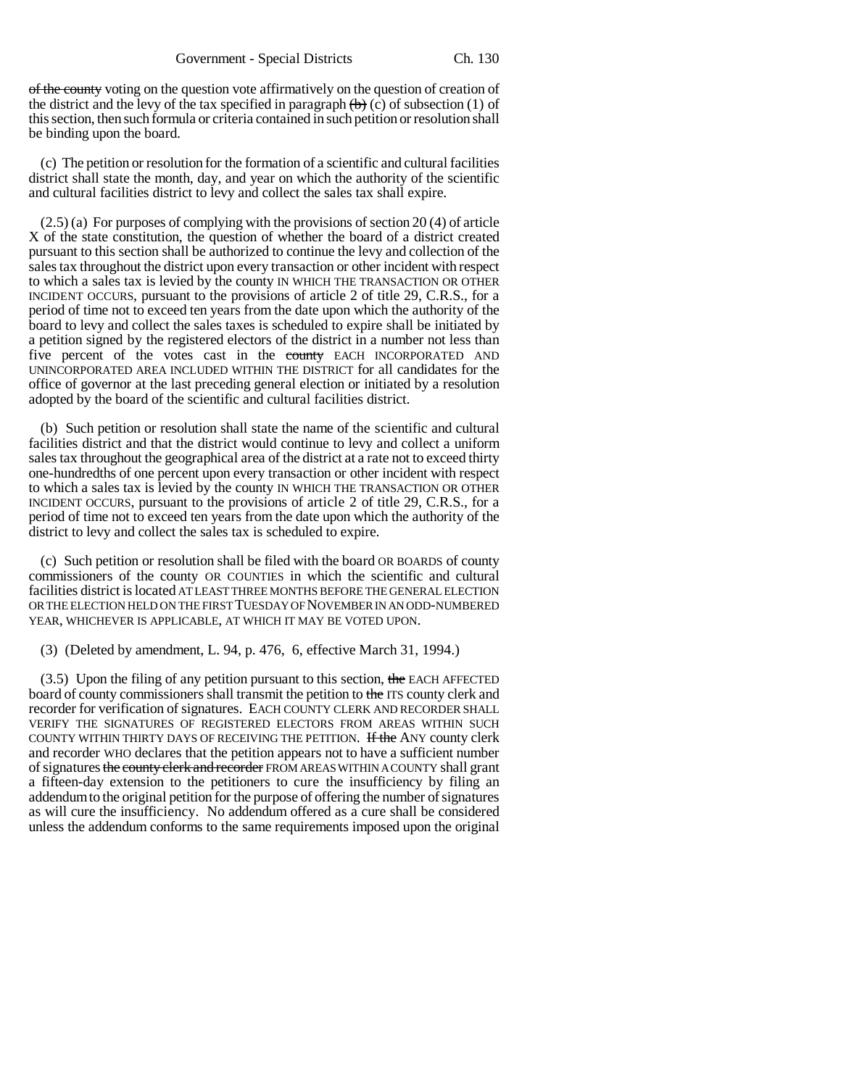of the county voting on the question vote affirmatively on the question of creation of the district and the levy of the tax specified in paragraph  $(\theta)$  (c) of subsection (1) of this section, then such formula or criteria contained in such petition or resolution shall be binding upon the board.

(c) The petition or resolution for the formation of a scientific and cultural facilities district shall state the month, day, and year on which the authority of the scientific and cultural facilities district to levy and collect the sales tax shall expire.

(2.5) (a) For purposes of complying with the provisions of section 20 (4) of article X of the state constitution, the question of whether the board of a district created pursuant to this section shall be authorized to continue the levy and collection of the sales tax throughout the district upon every transaction or other incident with respect to which a sales tax is levied by the county IN WHICH THE TRANSACTION OR OTHER INCIDENT OCCURS, pursuant to the provisions of article 2 of title 29, C.R.S., for a period of time not to exceed ten years from the date upon which the authority of the board to levy and collect the sales taxes is scheduled to expire shall be initiated by a petition signed by the registered electors of the district in a number not less than five percent of the votes cast in the county EACH INCORPORATED AND UNINCORPORATED AREA INCLUDED WITHIN THE DISTRICT for all candidates for the office of governor at the last preceding general election or initiated by a resolution adopted by the board of the scientific and cultural facilities district.

(b) Such petition or resolution shall state the name of the scientific and cultural facilities district and that the district would continue to levy and collect a uniform sales tax throughout the geographical area of the district at a rate not to exceed thirty one-hundredths of one percent upon every transaction or other incident with respect to which a sales tax is levied by the county IN WHICH THE TRANSACTION OR OTHER INCIDENT OCCURS, pursuant to the provisions of article 2 of title 29, C.R.S., for a period of time not to exceed ten years from the date upon which the authority of the district to levy and collect the sales tax is scheduled to expire.

(c) Such petition or resolution shall be filed with the board OR BOARDS of county commissioners of the county OR COUNTIES in which the scientific and cultural facilities district is located AT LEAST THREE MONTHS BEFORE THE GENERAL ELECTION OR THE ELECTION HELD ON THE FIRST TUESDAY OF NOVEMBER IN AN ODD-NUMBERED YEAR, WHICHEVER IS APPLICABLE, AT WHICH IT MAY BE VOTED UPON.

(3) (Deleted by amendment, L. 94, p. 476, 6, effective March 31, 1994.)

 $(3.5)$  Upon the filing of any petition pursuant to this section, the EACH AFFECTED board of county commissioners shall transmit the petition to the ITS county clerk and recorder for verification of signatures. EACH COUNTY CLERK AND RECORDER SHALL VERIFY THE SIGNATURES OF REGISTERED ELECTORS FROM AREAS WITHIN SUCH COUNTY WITHIN THIRTY DAYS OF RECEIVING THE PETITION. If the ANY county clerk and recorder WHO declares that the petition appears not to have a sufficient number of signatures the county clerk and recorder FROM AREAS WITHIN A COUNTY shall grant a fifteen-day extension to the petitioners to cure the insufficiency by filing an addendum to the original petition for the purpose of offering the number of signatures as will cure the insufficiency. No addendum offered as a cure shall be considered unless the addendum conforms to the same requirements imposed upon the original